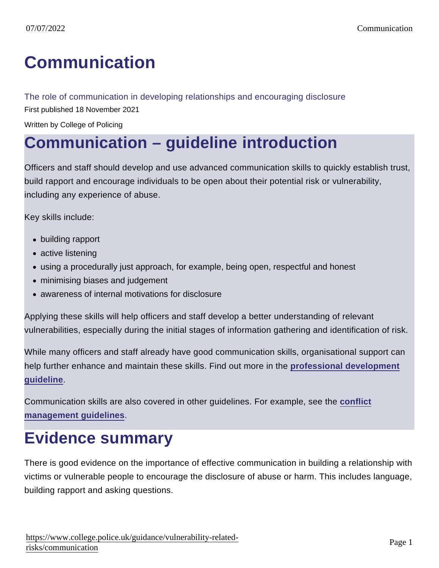# [Communication](https://www.college.police.uk/guidance/vulnerability-related-risks/communication)

### The role of communication in developing relationships and encouraging disclosure

First published 18 November 2021

Written by College of Policing

## Communication – guideline introduction

Officers and staff should develop and use advanced communication skills to quickly establish trust, build rapport and encourage individuals to be open about their potential risk or vulnerability, including any experience of abuse.

Key skills include:

- building rapport
- active listening
- using a procedurally just approach, for example, being open, respectful and honest
- minimising biases and judgement
- awareness of internal motivations for disclosure

Applying these skills will help officers and staff develop a better understanding of relevant vulnerabilities, especially during the initial stages of information gathering and identification of risk.

While many officers and staff already have good communication skills, organisational support can help further enhance and maintain these skills. Find out more in the [professional development](https://www.college.police.uk/guidance/vulnerability-related-risks/professional-development) [guideline](https://www.college.police.uk/guidance/vulnerability-related-risks/professional-development) .

Communication skills are also covered in other guidelines. For example, see the [conflict](https://www.college.police.uk/guidance/conflict-management) [management guidelines](https://www.college.police.uk/guidance/conflict-management) .

### Evidence summary

There is good evidence on the importance of effective communication in building a relationship with victims or vulnerable people to encourage the disclosure of abuse or harm. This includes language, building rapport and asking questions.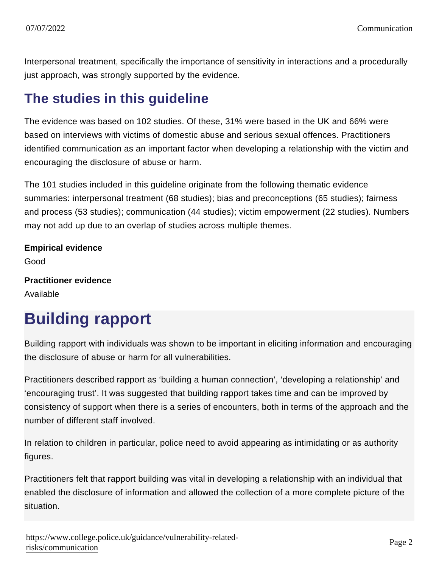Interpersonal treatment, specifically the importance of sensitivity in interactions and a procedurally just approach, was strongly supported by the evidence.

### The studies in this guideline

The evidence was based on 102 studies. Of these, 31% were based in the UK and 66% were based on interviews with victims of domestic abuse and serious sexual offences. Practitioners identified communication as an important factor when developing a relationship with the victim and encouraging the disclosure of abuse or harm.

The 101 studies included in this guideline originate from the following thematic evidence summaries: interpersonal treatment (68 studies); bias and preconceptions (65 studies); fairness and process (53 studies); communication (44 studies); victim empowerment (22 studies). Numbers may not add up due to an overlap of studies across multiple themes.

Empirical evidence Good Practitioner evidence

Available

# Building rapport

Building rapport with individuals was shown to be important in eliciting information and encouraging the disclosure of abuse or harm for all vulnerabilities.

Practitioners described rapport as 'building a human connection', 'developing a relationship' and 'encouraging trust'. It was suggested that building rapport takes time and can be improved by consistency of support when there is a series of encounters, both in terms of the approach and the number of different staff involved.

In relation to children in particular, police need to avoid appearing as intimidating or as authority figures.

Practitioners felt that rapport building was vital in developing a relationship with an individual that enabled the disclosure of information and allowed the collection of a more complete picture of the situation.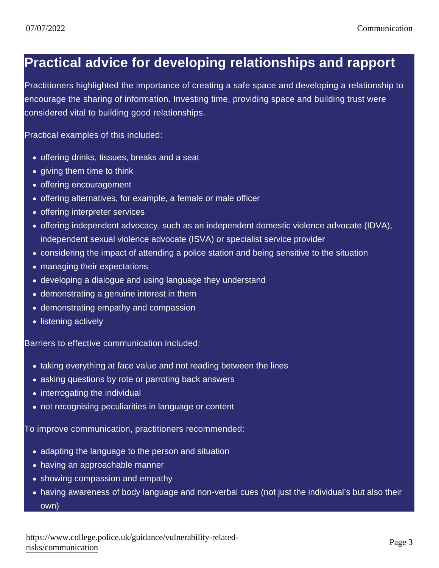### Practical advice for developing relationships and rapport

Practitioners highlighted the importance of creating a safe space and developing a relationship to encourage the sharing of information. Investing time, providing space and building trust were considered vital to building good relationships.

Practical examples of this included:

- offering drinks, tissues, breaks and a seat
- giving them time to think
- offering encouragement
- offering alternatives, for example, a female or male officer
- offering interpreter services
- offering independent advocacy, such as an independent domestic violence advocate (IDVA), independent sexual violence advocate (ISVA) or specialist service provider
- considering the impact of attending a police station and being sensitive to the situation
- managing their expectations
- developing a dialogue and using language they understand
- demonstrating a genuine interest in them
- demonstrating empathy and compassion
- listening actively

Barriers to effective communication included:

- taking everything at face value and not reading between the lines
- asking questions by rote or parroting back answers
- interrogating the individual
- not recognising peculiarities in language or content

To improve communication, practitioners recommended:

- adapting the language to the person and situation
- having an approachable manner
- showing compassion and empathy
- having awareness of body language and non-verbal cues (not just the individual's but also their own)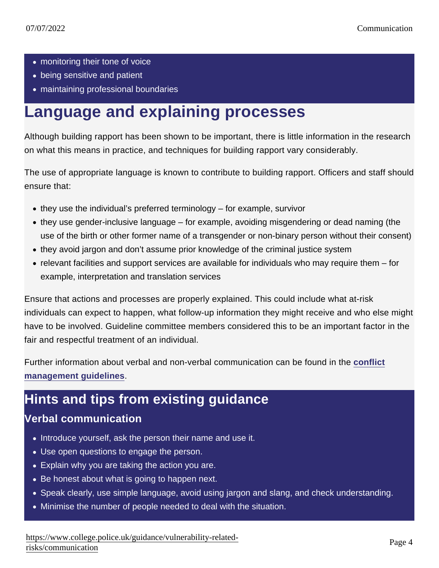- monitoring their tone of voice
- being sensitive and patient
- maintaining professional boundaries

### Language and explaining processes

Although building rapport has been shown to be important, there is little information in the research on what this means in practice, and techniques for building rapport vary considerably.

The use of appropriate language is known to contribute to building rapport. Officers and staff should ensure that:

- $\bullet$  they use the individual's preferred terminology for example, survivor
- they use gender-inclusive language for example, avoiding misgendering or dead naming (the use of the birth or other former name of a transgender or non-binary person without their consent)
- they avoid jargon and don't assume prior knowledge of the criminal justice system
- relevant facilities and support services are available for individuals who may require them for example, interpretation and translation services

Ensure that actions and processes are properly explained. This could include what at-risk individuals can expect to happen, what follow-up information they might receive and who else might have to be involved. Guideline committee members considered this to be an important factor in the fair and respectful treatment of an individual.

Further information about verbal and non-verbal communication can be found in the [conflict](https://www.college.police.uk/guidance/conflict-management) management quidelines.

### Hints and tips from existing guidance

### Verbal communication

- Introduce yourself, ask the person their name and use it.
- Use open questions to engage the person.
- Explain why you are taking the action you are.
- Be honest about what is going to happen next.
- Speak clearly, use simple language, avoid using jargon and slang, and check understanding.
- Minimise the number of people needed to deal with the situation.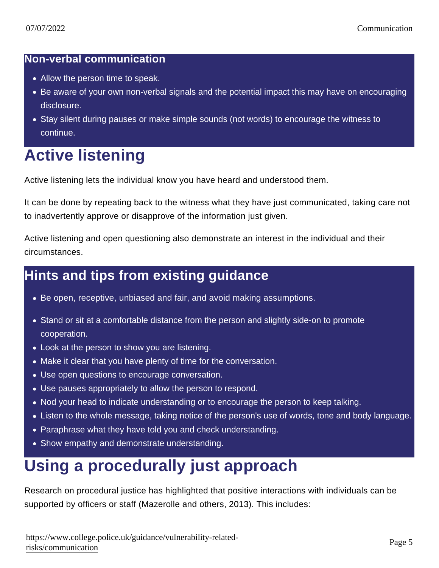#### Non-verbal communication

- Allow the person time to speak.
- Be aware of your own non-verbal signals and the potential impact this may have on encouraging disclosure.
- Stay silent during pauses or make simple sounds (not words) to encourage the witness to continue.

## Active listening

Active listening lets the individual know you have heard and understood them.

It can be done by repeating back to the witness what they have just communicated, taking care not to inadvertently approve or disapprove of the information just given.

Active listening and open questioning also demonstrate an interest in the individual and their circumstances.

### Hints and tips from existing guidance

- Be open, receptive, unbiased and fair, and avoid making assumptions.
- Stand or sit at a comfortable distance from the person and slightly side-on to promote cooperation.
- Look at the person to show you are listening.
- Make it clear that you have plenty of time for the conversation.
- Use open questions to encourage conversation.
- Use pauses appropriately to allow the person to respond.
- Nod your head to indicate understanding or to encourage the person to keep talking.
- Listen to the whole message, taking notice of the person's use of words, tone and body language.
- Paraphrase what they have told you and check understanding.
- Show empathy and demonstrate understanding.

## Using a procedurally just approach

Research on procedural justice has highlighted that positive interactions with individuals can be supported by officers or staff (Mazerolle and others, 2013). This includes: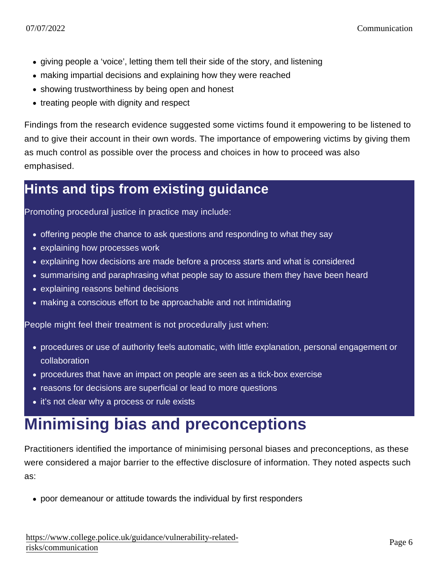- giving people a 'voice', letting them tell their side of the story, and listening
- making impartial decisions and explaining how they were reached
- showing trustworthiness by being open and honest
- treating people with dignity and respect

Findings from the research evidence suggested some victims found it empowering to be listened to and to give their account in their own words. The importance of empowering victims by giving them as much control as possible over the process and choices in how to proceed was also emphasised.

### Hints and tips from existing guidance

Promoting procedural justice in practice may include:

- offering people the chance to ask questions and responding to what they say
- explaining how processes work
- explaining how decisions are made before a process starts and what is considered
- summarising and paraphrasing what people say to assure them they have been heard
- explaining reasons behind decisions
- making a conscious effort to be approachable and not intimidating

People might feel their treatment is not procedurally just when:

- procedures or use of authority feels automatic, with little explanation, personal engagement or collaboration
- procedures that have an impact on people are seen as a tick-box exercise
- reasons for decisions are superficial or lead to more questions
- it's not clear why a process or rule exists

# Minimising bias and preconceptions

Practitioners identified the importance of minimising personal biases and preconceptions, as these were considered a major barrier to the effective disclosure of information. They noted aspects such as:

poor demeanour or attitude towards the individual by first responders